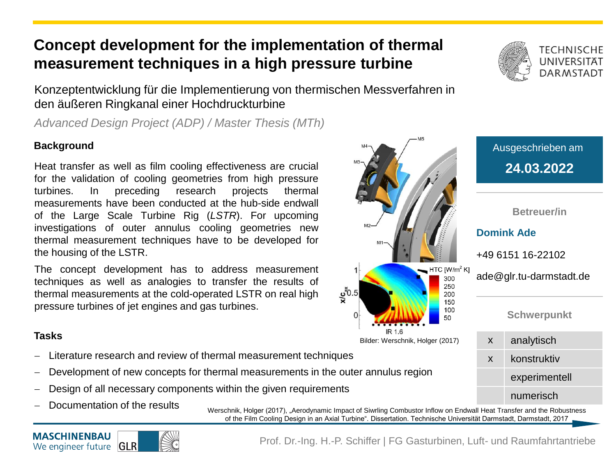## **Concept development for the implementation of thermal measurement techniques in a high pressure turbine**

Konzeptentwicklung für die Implementierung von thermischen Messverfahren in den äußeren Ringkanal einer Hochdruckturbine

*Advanced Design Project (ADP) / Master Thesis (MTh)*

### **Background**

Heat transfer as well as film cooling effectiveness are crucial **24.03.2022 24.03.2022** for the validation of cooling geometries from high pressure turbines. In preceding research projects thermal measurements have been conducted at the hub-side endwall of the Large Scale Turbine Rig (*LSTR*). For upcoming investigations of outer annulus cooling geometries new thermal measurement techniques have to be developed for the housing of the LSTR.

The concept development has to address measurement techniques as well as analogies to transfer the results of thermal measurements at the cold-operated LSTR on real high pressure turbines of jet engines and gas turbines.

#### **Tasks**

- Literature research and review of thermal measurement techniques
- Development of new concepts for thermal measurements in the outer annulus region
- Design of all necessary components within the given requirements
- Documentation of the results

Werschnik, Holger (2017), "Aerodynamic Impact of Siwrling Combustor Inflow on Endwall Heat Transfer and the Robustness of the Film Cooling Design in an Axial Turbine". Dissertation. Technische Universität Darmstadt, Darmstadt, 2017

 $\frac{c}{x}$ <sup>2</sup>0.5